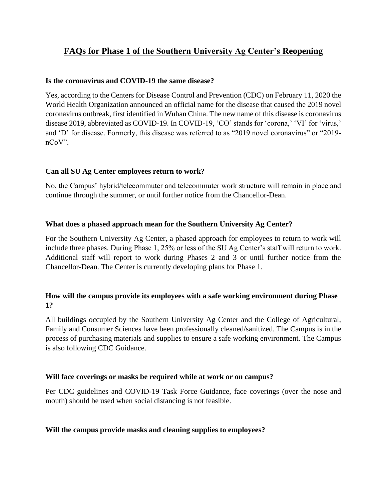# **FAQs for Phase 1 of the Southern University Ag Center's Reopening**

#### **Is the coronavirus and COVID-19 the same disease?**

Yes, according to the Centers for Disease Control and Prevention (CDC) on February 11, 2020 the World Health Organization announced an official name for the disease that caused the 2019 novel coronavirus outbreak, first identified in Wuhan China. The new name of this disease is coronavirus disease 2019, abbreviated as COVID-19. In COVID-19, 'CO' stands for 'corona,' 'VI' for 'virus,' and 'D' for disease. Formerly, this disease was referred to as "2019 novel coronavirus" or "2019 nCoV".

## **Can all SU Ag Center employees return to work?**

No, the Campus' hybrid/telecommuter and telecommuter work structure will remain in place and continue through the summer, or until further notice from the Chancellor-Dean.

#### **What does a phased approach mean for the Southern University Ag Center?**

For the Southern University Ag Center, a phased approach for employees to return to work will include three phases. During Phase 1, 25% or less of the SU Ag Center's staff will return to work. Additional staff will report to work during Phases 2 and 3 or until further notice from the Chancellor-Dean. The Center is currently developing plans for Phase 1.

## **How will the campus provide its employees with a safe working environment during Phase 1?**

All buildings occupied by the Southern University Ag Center and the College of Agricultural, Family and Consumer Sciences have been professionally cleaned/sanitized. The Campus is in the process of purchasing materials and supplies to ensure a safe working environment. The Campus is also following CDC Guidance.

#### **Will face coverings or masks be required while at work or on campus?**

Per CDC guidelines and COVID-19 Task Force Guidance, face coverings (over the nose and mouth) should be used when social distancing is not feasible.

#### **Will the campus provide masks and cleaning supplies to employees?**